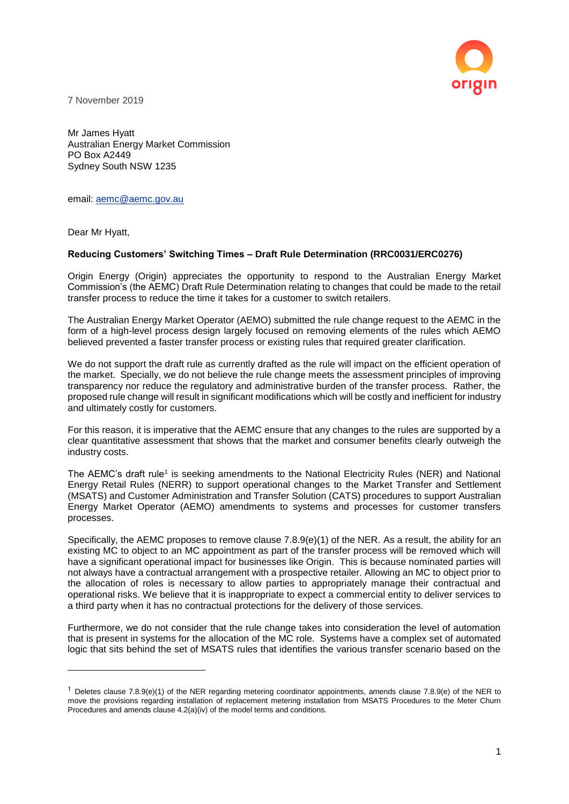

7 November 2019

Mr James Hyatt Australian Energy Market Commission PO Box A2449 Sydney South NSW 1235

email: [aemc@aemc.gov.au](mailto:aemc@aemc.gov.au)

Dear Mr Hyatt,

 $\overline{a}$ 

#### **Reducing Customers' Switching Times – Draft Rule Determination (RRC0031/ERC0276)**

Origin Energy (Origin) appreciates the opportunity to respond to the Australian Energy Market Commission's (the AEMC) Draft Rule Determination relating to changes that could be made to the retail transfer process to reduce the time it takes for a customer to switch retailers.

The Australian Energy Market Operator (AEMO) submitted the rule change request to the AEMC in the form of a high-level process design largely focused on removing elements of the rules which AEMO believed prevented a faster transfer process or existing rules that required greater clarification.

We do not support the draft rule as currently drafted as the rule will impact on the efficient operation of the market. Specially, we do not believe the rule change meets the assessment principles of improving transparency nor reduce the regulatory and administrative burden of the transfer process. Rather, the proposed rule change will result in significant modifications which will be costly and inefficient for industry and ultimately costly for customers.

For this reason, it is imperative that the AEMC ensure that any changes to the rules are supported by a clear quantitative assessment that shows that the market and consumer benefits clearly outweigh the industry costs.

The AEMC's draft rule<sup>1</sup> is seeking amendments to the National Electricity Rules (NER) and National Energy Retail Rules (NERR) to support operational changes to the Market Transfer and Settlement (MSATS) and Customer Administration and Transfer Solution (CATS) procedures to support Australian Energy Market Operator (AEMO) amendments to systems and processes for customer transfers processes.

Specifically, the AEMC proposes to remove clause 7.8.9(e)(1) of the NER. As a result, the ability for an existing MC to object to an MC appointment as part of the transfer process will be removed which will have a significant operational impact for businesses like Origin. This is because nominated parties will not always have a contractual arrangement with a prospective retailer. Allowing an MC to object prior to the allocation of roles is necessary to allow parties to appropriately manage their contractual and operational risks. We believe that it is inappropriate to expect a commercial entity to deliver services to a third party when it has no contractual protections for the delivery of those services.

Furthermore, we do not consider that the rule change takes into consideration the level of automation that is present in systems for the allocation of the MC role. Systems have a complex set of automated logic that sits behind the set of MSATS rules that identifies the various transfer scenario based on the

<sup>&</sup>lt;sup>1</sup> Deletes clause 7.8.9(e)(1) of the NER regarding metering coordinator appointments, amends clause 7.8.9(e) of the NER to move the provisions regarding installation of replacement metering installation from MSATS Procedures to the Meter Churn Procedures and amends clause 4.2(a)(iv) of the model terms and conditions.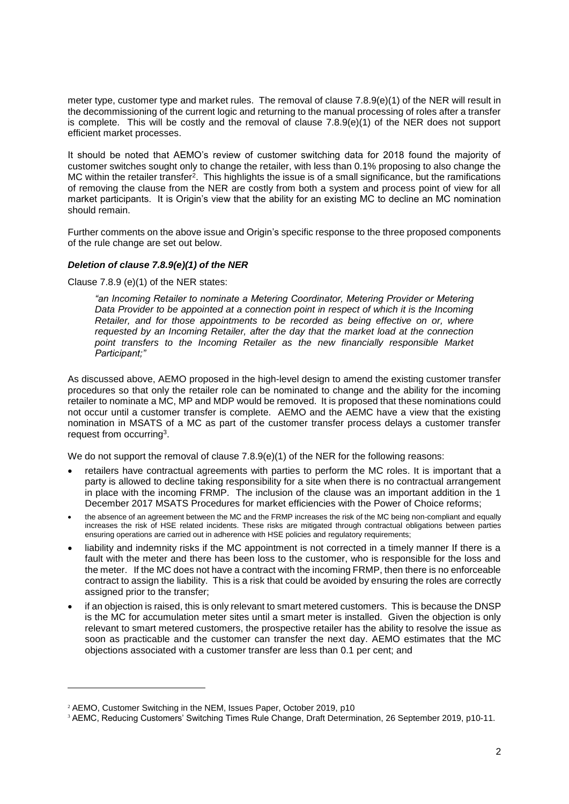meter type, customer type and market rules. The removal of clause 7.8.9(e)(1) of the NER will result in the decommissioning of the current logic and returning to the manual processing of roles after a transfer is complete. This will be costly and the removal of clause 7.8.9(e)(1) of the NER does not support efficient market processes.

It should be noted that AEMO's review of customer switching data for 2018 found the majority of customer switches sought only to change the retailer, with less than 0.1% proposing to also change the MC within the retailer transfer<sup>2</sup>. This highlights the issue is of a small significance, but the ramifications of removing the clause from the NER are costly from both a system and process point of view for all market participants. It is Origin's view that the ability for an existing MC to decline an MC nomination should remain.

Further comments on the above issue and Origin's specific response to the three proposed components of the rule change are set out below.

# *Deletion of clause 7.8.9(e)(1) of the NER*

Clause 7.8.9 (e)(1) of the NER states:

*"an Incoming Retailer to nominate a Metering Coordinator, Metering Provider or Metering Data Provider to be appointed at a connection point in respect of which it is the Incoming Retailer, and for those appointments to be recorded as being effective on or, where requested by an Incoming Retailer, after the day that the market load at the connection*  point transfers to the Incoming Retailer as the new financially responsible Market *Participant;"*

As discussed above, AEMO proposed in the high-level design to amend the existing customer transfer procedures so that only the retailer role can be nominated to change and the ability for the incoming retailer to nominate a MC, MP and MDP would be removed. It is proposed that these nominations could not occur until a customer transfer is complete. AEMO and the AEMC have a view that the existing nomination in MSATS of a MC as part of the customer transfer process delays a customer transfer request from occurring<sup>3</sup>.

We do not support the removal of clause  $7.8.9(e)(1)$  of the NER for the following reasons:

- retailers have contractual agreements with parties to perform the MC roles. It is important that a party is allowed to decline taking responsibility for a site when there is no contractual arrangement in place with the incoming FRMP. The inclusion of the clause was an important addition in the 1 December 2017 MSATS Procedures for market efficiencies with the Power of Choice reforms;
- the absence of an agreement between the MC and the FRMP increases the risk of the MC being non-compliant and equally increases the risk of HSE related incidents. These risks are mitigated through contractual obligations between parties ensuring operations are carried out in adherence with HSE policies and regulatory requirements;
- liability and indemnity risks if the MC appointment is not corrected in a timely manner If there is a fault with the meter and there has been loss to the customer, who is responsible for the loss and the meter. If the MC does not have a contract with the incoming FRMP, then there is no enforceable contract to assign the liability. This is a risk that could be avoided by ensuring the roles are correctly assigned prior to the transfer;
- if an objection is raised, this is only relevant to smart metered customers. This is because the DNSP is the MC for accumulation meter sites until a smart meter is installed. Given the objection is only relevant to smart metered customers, the prospective retailer has the ability to resolve the issue as soon as practicable and the customer can transfer the next day. AEMO estimates that the MC objections associated with a customer transfer are less than 0.1 per cent; and

 $\overline{a}$ 

<sup>2</sup> AEMO, Customer Switching in the NEM, Issues Paper, October 2019, p10

<sup>3</sup> AEMC, Reducing Customers' Switching Times Rule Change, Draft Determination, 26 September 2019, p10-11.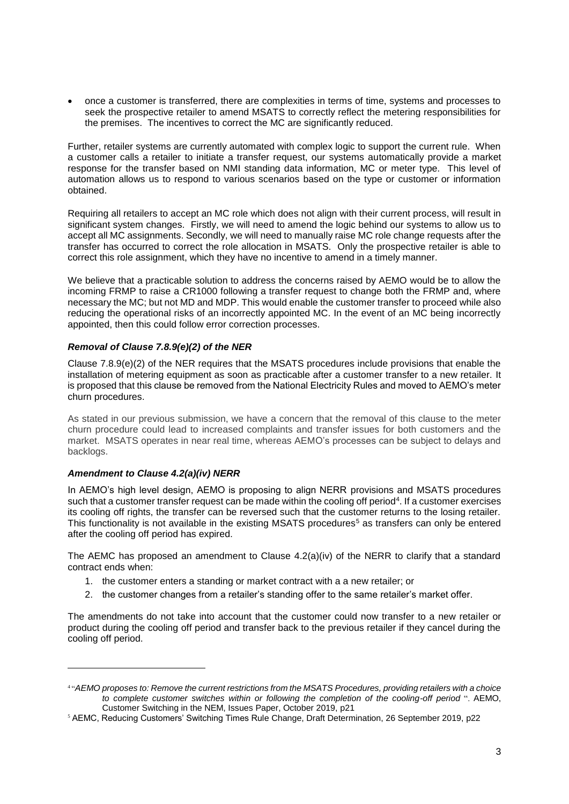• once a customer is transferred, there are complexities in terms of time, systems and processes to seek the prospective retailer to amend MSATS to correctly reflect the metering responsibilities for the premises. The incentives to correct the MC are significantly reduced.

Further, retailer systems are currently automated with complex logic to support the current rule. When a customer calls a retailer to initiate a transfer request, our systems automatically provide a market response for the transfer based on NMI standing data information, MC or meter type. This level of automation allows us to respond to various scenarios based on the type or customer or information obtained.

Requiring all retailers to accept an MC role which does not align with their current process, will result in significant system changes. Firstly, we will need to amend the logic behind our systems to allow us to accept all MC assignments. Secondly, we will need to manually raise MC role change requests after the transfer has occurred to correct the role allocation in MSATS. Only the prospective retailer is able to correct this role assignment, which they have no incentive to amend in a timely manner.

We believe that a practicable solution to address the concerns raised by AEMO would be to allow the incoming FRMP to raise a CR1000 following a transfer request to change both the FRMP and, where necessary the MC; but not MD and MDP. This would enable the customer transfer to proceed while also reducing the operational risks of an incorrectly appointed MC. In the event of an MC being incorrectly appointed, then this could follow error correction processes.

## *Removal of Clause 7.8.9(e)(2) of the NER*

Clause 7.8.9(e)(2) of the NER requires that the MSATS procedures include provisions that enable the installation of metering equipment as soon as practicable after a customer transfer to a new retailer. It is proposed that this clause be removed from the National Electricity Rules and moved to AEMO's meter churn procedures.

As stated in our previous submission, we have a concern that the removal of this clause to the meter churn procedure could lead to increased complaints and transfer issues for both customers and the market. MSATS operates in near real time, whereas AEMO's processes can be subject to delays and backlogs.

## *Amendment to Clause 4.2(a)(iv) NERR*

l

In AEMO's high level design, AEMO is proposing to align NERR provisions and MSATS procedures such that a customer transfer request can be made within the cooling off period<sup>4</sup>. If a customer exercises its cooling off rights, the transfer can be reversed such that the customer returns to the losing retailer. This functionality is not available in the existing MSATS procedures<sup>5</sup> as transfers can only be entered after the cooling off period has expired.

The AEMC has proposed an amendment to Clause  $4.2(a)(iv)$  of the NERR to clarify that a standard contract ends when:

- 1. the customer enters a standing or market contract with a a new retailer; or
- 2. the customer changes from a retailer's standing offer to the same retailer's market offer.

The amendments do not take into account that the customer could now transfer to a new retailer or product during the cooling off period and transfer back to the previous retailer if they cancel during the cooling off period.

<sup>4</sup> "*AEMO proposes to: Remove the current restrictions from the MSATS Procedures, providing retailers with a choice to complete customer switches within or following the completion of the cooling-off period* ". AEMO, Customer Switching in the NEM, Issues Paper, October 2019, p21

<sup>5</sup> AEMC, Reducing Customers' Switching Times Rule Change, Draft Determination, 26 September 2019, p22